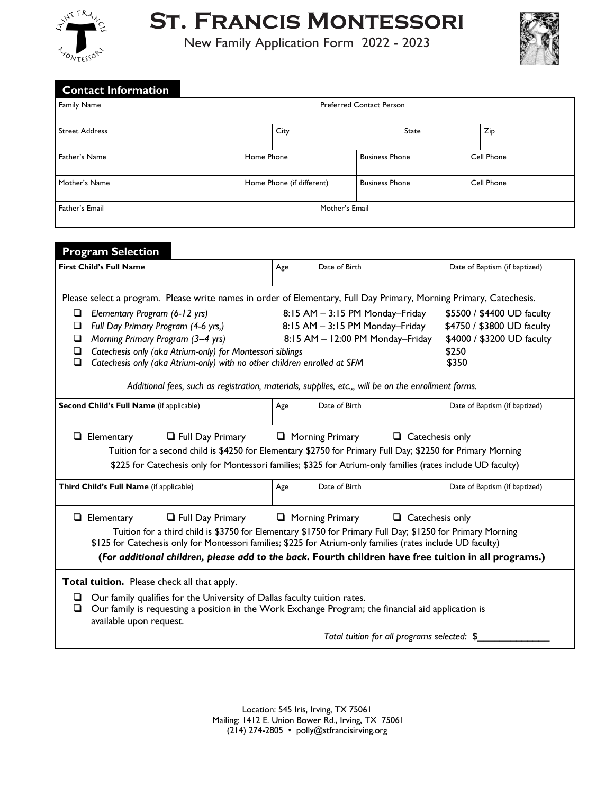

**St. Francis Montessori**

New Family Application Form 2022 - 2023



| <b>Contact Information</b>                                                                                         |                           |      |                                                                    |                       |              |                                                          |                               |  |
|--------------------------------------------------------------------------------------------------------------------|---------------------------|------|--------------------------------------------------------------------|-----------------------|--------------|----------------------------------------------------------|-------------------------------|--|
| <b>Family Name</b>                                                                                                 |                           |      | <b>Preferred Contact Person</b>                                    |                       |              |                                                          |                               |  |
| <b>Street Address</b>                                                                                              |                           | City |                                                                    |                       | <b>State</b> |                                                          | Zip                           |  |
| Father's Name                                                                                                      | Home Phone                |      |                                                                    | <b>Business Phone</b> |              | Cell Phone                                               |                               |  |
| Mother's Name                                                                                                      | Home Phone (if different) |      |                                                                    | <b>Business Phone</b> |              |                                                          | Cell Phone                    |  |
| Father's Email                                                                                                     |                           |      | Mother's Email                                                     |                       |              |                                                          |                               |  |
| <b>Program Selection</b>                                                                                           |                           |      |                                                                    |                       |              |                                                          |                               |  |
| <b>First Child's Full Name</b>                                                                                     |                           | Age  | Date of Birth                                                      |                       |              |                                                          | Date of Baptism (if baptized) |  |
| Please select a program. Please write names in order of Elementary, Full Day Primary, Morning Primary, Catechesis. |                           |      |                                                                    |                       |              |                                                          |                               |  |
| Elementary Program (6-12 yrs)<br>□<br>Full Day Primary Program (4-6 yrs,)<br>$\Box$                                |                           |      | 8:15 AM - 3:15 PM Monday-Friday<br>8:15 AM - 3:15 PM Monday-Friday |                       |              | \$5500 / \$4400 UD faculty<br>\$4750 / \$3800 UD faculty |                               |  |

| <b>Frogram Selection</b>                                                                                                                                                                                                                                                                                                                                                                                                           |                                                                                                                                                                                                                                                                                                                                   |                                             |                               |
|------------------------------------------------------------------------------------------------------------------------------------------------------------------------------------------------------------------------------------------------------------------------------------------------------------------------------------------------------------------------------------------------------------------------------------|-----------------------------------------------------------------------------------------------------------------------------------------------------------------------------------------------------------------------------------------------------------------------------------------------------------------------------------|---------------------------------------------|-------------------------------|
| <b>First Child's Full Name</b>                                                                                                                                                                                                                                                                                                                                                                                                     | Age                                                                                                                                                                                                                                                                                                                               | Date of Birth                               | Date of Baptism (if baptized) |
| Please select a program. Please write names in order of Elementary, Full Day Primary, Morning Primary, Catechesis.                                                                                                                                                                                                                                                                                                                 |                                                                                                                                                                                                                                                                                                                                   |                                             |                               |
| Elementary Program (6-12 yrs)<br>□<br>Full Day Primary Program (4-6 yrs,)<br>❏<br>Morning Primary Program (3-4 yrs)<br>□<br>Catechesis only (aka Atrium-only) for Montessori siblings<br>□<br>□<br>Catechesis only (aka Atrium-only) with no other children enrolled at SFM                                                                                                                                                        | $8:15$ AM $-$ 3:15 PM Monday-Friday<br>\$5500 / \$4400 UD faculty<br>$8:15$ AM $-$ 3:15 PM Monday-Friday<br>\$4750 / \$3800 UD faculty<br>8:15 AM - 12:00 PM Monday-Friday<br>\$4000 / \$3200 UD faculty<br>\$250<br>\$350<br>Additional fees, such as registration, materials, supplies, etc.,, will be on the enrollment forms. |                                             |                               |
| Second Child's Full Name (if applicable)                                                                                                                                                                                                                                                                                                                                                                                           | Age                                                                                                                                                                                                                                                                                                                               | Date of Birth                               | Date of Baptism (if baptized) |
| $\Box$ Full Day Primary $\Box$ Morning Primary $\Box$ Catechesis only<br>$\Box$ Elementary<br>Tuition for a second child is \$4250 for Elementary \$2750 for Primary Full Day; \$2250 for Primary Morning<br>\$225 for Catechesis only for Montessori families; \$325 for Atrium-only families (rates include UD faculty)                                                                                                          |                                                                                                                                                                                                                                                                                                                                   |                                             |                               |
| Third Child's Full Name (if applicable)                                                                                                                                                                                                                                                                                                                                                                                            | Age                                                                                                                                                                                                                                                                                                                               | Date of Birth                               | Date of Baptism (if baptized) |
| $\Box$ Full Day Primary $\Box$ Morning Primary<br>$\Box$ Catechesis only<br>Elementary<br>□<br>Tuition for a third child is \$3750 for Elementary \$1750 for Primary Full Day; \$1250 for Primary Morning<br>\$125 for Catechesis only for Montessori families; \$225 for Atrium-only families (rates include UD faculty)<br>(For additional children, please add to the back. Fourth children have free tuition in all programs.) |                                                                                                                                                                                                                                                                                                                                   |                                             |                               |
| Total tuition. Please check all that apply.<br>Our family qualifies for the University of Dallas faculty tuition rates.<br>u<br>Our family is requesting a position in the Work Exchange Program; the financial aid application is<br>□<br>available upon request.                                                                                                                                                                 |                                                                                                                                                                                                                                                                                                                                   |                                             |                               |
|                                                                                                                                                                                                                                                                                                                                                                                                                                    |                                                                                                                                                                                                                                                                                                                                   | Total tuition for all programs selected: \$ |                               |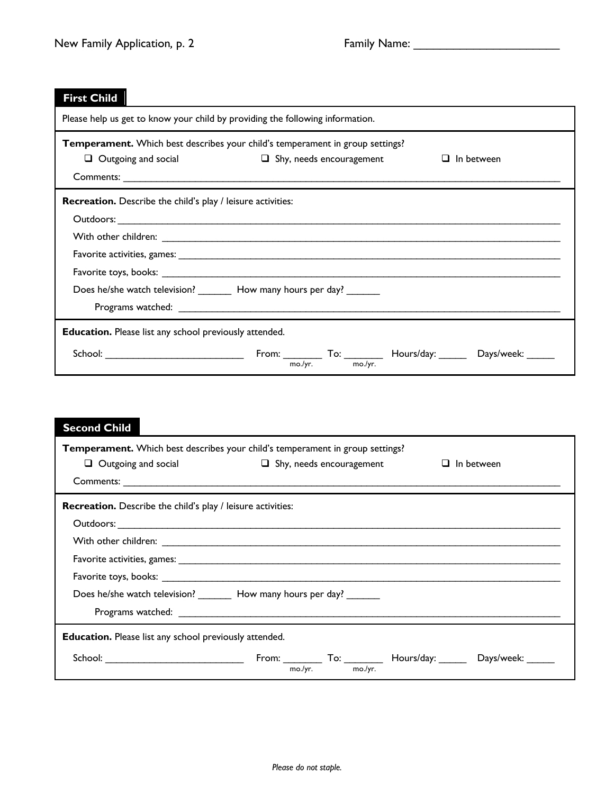| <b>First Child</b>                                                                                                                                           |  |  |  |
|--------------------------------------------------------------------------------------------------------------------------------------------------------------|--|--|--|
| Please help us get to know your child by providing the following information.                                                                                |  |  |  |
| Temperament. Which best describes your child's temperament in group settings?<br>$\Box$ Shy, needs encouragement<br>$\Box$ Outgoing and social<br>In between |  |  |  |
| <b>Recreation.</b> Describe the child's play / leisure activities:<br>Does he/she watch television? _________ How many hours per day? _______                |  |  |  |
| <b>Education.</b> Please list any school previously attended.<br>From: $T_{\text{no./yr.}}$ To: $T_{\text{no./yr.}}$ Hours/day: Days/week: _____             |  |  |  |
|                                                                                                                                                              |  |  |  |

| <b>Second Child</b>                                                      |                                                                                      |                   |  |
|--------------------------------------------------------------------------|--------------------------------------------------------------------------------------|-------------------|--|
|                                                                          | <b>Temperament.</b> Which best describes your child's temperament in group settings? |                   |  |
|                                                                          | $\Box$ Outgoing and social $\Box$ Shy, needs encouragement                           | $\Box$ In between |  |
|                                                                          |                                                                                      |                   |  |
| Recreation. Describe the child's play / leisure activities:              |                                                                                      |                   |  |
|                                                                          |                                                                                      |                   |  |
|                                                                          |                                                                                      |                   |  |
|                                                                          |                                                                                      |                   |  |
|                                                                          |                                                                                      |                   |  |
| Does he/she watch television? _________ How many hours per day? ________ |                                                                                      |                   |  |
|                                                                          |                                                                                      |                   |  |
| <b>Education.</b> Please list any school previously attended.            |                                                                                      |                   |  |
|                                                                          | mo./vr.<br>mo./yr.                                                                   |                   |  |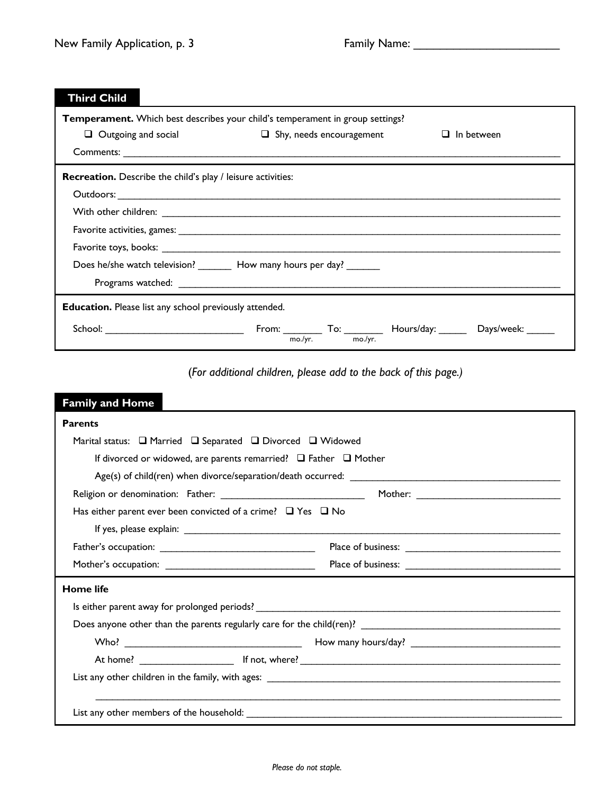$\overline{\phantom{0}}$ 

| <b>Third Child</b>                                                        |                                                                                      |                   |  |
|---------------------------------------------------------------------------|--------------------------------------------------------------------------------------|-------------------|--|
|                                                                           | <b>Temperament.</b> Which best describes your child's temperament in group settings? |                   |  |
| $\Box$ Outgoing and social                                                | $\Box$ Shy, needs encouragement                                                      | $\Box$ In between |  |
|                                                                           |                                                                                      |                   |  |
| <b>Recreation.</b> Describe the child's play / leisure activities:        |                                                                                      |                   |  |
|                                                                           |                                                                                      |                   |  |
|                                                                           |                                                                                      |                   |  |
|                                                                           |                                                                                      |                   |  |
|                                                                           |                                                                                      |                   |  |
| Does he/she watch television? __________ How many hours per day? ________ |                                                                                      |                   |  |
|                                                                           |                                                                                      |                   |  |
| <b>Education.</b> Please list any school previously attended.             |                                                                                      |                   |  |
|                                                                           | From: $T_{\text{mo./yr.}}$ To: $T_{\text{mo./yr.}}$ Hours/day: Days/week: _____      |                   |  |

|  | (For additional children, please add to the back of this page.) |  |
|--|-----------------------------------------------------------------|--|
|--|-----------------------------------------------------------------|--|

| <b>Family and Home</b>                                                                                         |                                                                                                                                                                                                                                                                                                                                             |  |  |  |
|----------------------------------------------------------------------------------------------------------------|---------------------------------------------------------------------------------------------------------------------------------------------------------------------------------------------------------------------------------------------------------------------------------------------------------------------------------------------|--|--|--|
| <b>Parents</b>                                                                                                 |                                                                                                                                                                                                                                                                                                                                             |  |  |  |
| Marital status: $\Box$ Married $\Box$ Separated $\Box$ Divorced $\Box$ Widowed                                 |                                                                                                                                                                                                                                                                                                                                             |  |  |  |
| If divorced or widowed, are parents remarried? $\Box$ Father $\Box$ Mother                                     |                                                                                                                                                                                                                                                                                                                                             |  |  |  |
|                                                                                                                |                                                                                                                                                                                                                                                                                                                                             |  |  |  |
|                                                                                                                |                                                                                                                                                                                                                                                                                                                                             |  |  |  |
| Has either parent ever been convicted of a crime? $\Box$ Yes $\Box$ No                                         |                                                                                                                                                                                                                                                                                                                                             |  |  |  |
|                                                                                                                |                                                                                                                                                                                                                                                                                                                                             |  |  |  |
|                                                                                                                |                                                                                                                                                                                                                                                                                                                                             |  |  |  |
| Mother's occupation: _________________________________                                                         |                                                                                                                                                                                                                                                                                                                                             |  |  |  |
| <b>Home life</b>                                                                                               |                                                                                                                                                                                                                                                                                                                                             |  |  |  |
|                                                                                                                |                                                                                                                                                                                                                                                                                                                                             |  |  |  |
|                                                                                                                |                                                                                                                                                                                                                                                                                                                                             |  |  |  |
|                                                                                                                | Who? $\qquad \qquad$ $\qquad$ $\qquad$ $\qquad$ $\qquad$ $\qquad$ $\qquad$ $\qquad$ $\qquad$ $\qquad$ $\qquad$ $\qquad$ $\qquad$ $\qquad$ $\qquad$ $\qquad$ $\qquad$ $\qquad$ $\qquad$ $\qquad$ $\qquad$ $\qquad$ $\qquad$ $\qquad$ $\qquad$ $\qquad$ $\qquad$ $\qquad$ $\qquad$ $\qquad$ $\qquad$ $\qquad$ $\qquad$ $\qquad$ $\qquad$ $\q$ |  |  |  |
|                                                                                                                |                                                                                                                                                                                                                                                                                                                                             |  |  |  |
|                                                                                                                |                                                                                                                                                                                                                                                                                                                                             |  |  |  |
|                                                                                                                |                                                                                                                                                                                                                                                                                                                                             |  |  |  |
| List any other members of the household: New York Channels and the set of the set of the set of the set of the |                                                                                                                                                                                                                                                                                                                                             |  |  |  |